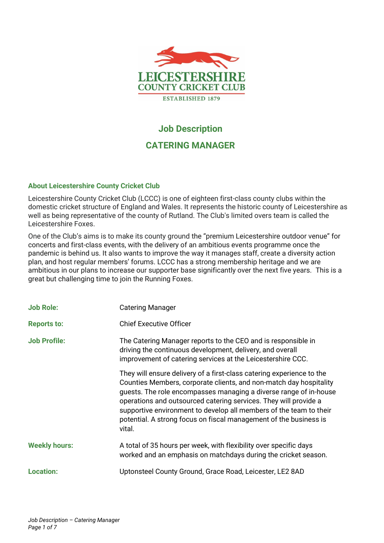

# **Job Description**

# **CATERING MANAGER**

### **About Leicestershire County Cricket Club**

Leicestershire County Cricket Club (LCCC) is one of eighteen first-class county clubs within the domestic cricket structure of England and Wales. It represents the historic county of Leicestershire as well as being representative of the county of Rutland. The Club's limited overs team is called the Leicestershire Foxes.

One of the Club's aims is to make its county ground the "premium Leicestershire outdoor venue" for concerts and first-class events, with the delivery of an ambitious events programme once the pandemic is behind us. It also wants to improve the way it manages staff, create a diversity action plan, and host regular members' forums. LCCC has a strong membership heritage and we are ambitious in our plans to increase our supporter base significantly over the next five years. This is a great but challenging time to join the Running Foxes.

| <b>Job Role:</b>     | <b>Catering Manager</b>                                                                                                                                                                                                                                                                                                                                                                                                                   |
|----------------------|-------------------------------------------------------------------------------------------------------------------------------------------------------------------------------------------------------------------------------------------------------------------------------------------------------------------------------------------------------------------------------------------------------------------------------------------|
| <b>Reports to:</b>   | <b>Chief Executive Officer</b>                                                                                                                                                                                                                                                                                                                                                                                                            |
| <b>Job Profile:</b>  | The Catering Manager reports to the CEO and is responsible in<br>driving the continuous development, delivery, and overall<br>improvement of catering services at the Leicestershire CCC.                                                                                                                                                                                                                                                 |
|                      | They will ensure delivery of a first-class catering experience to the<br>Counties Members, corporate clients, and non-match day hospitality<br>guests. The role encompasses managing a diverse range of in-house<br>operations and outsourced catering services. They will provide a<br>supportive environment to develop all members of the team to their<br>potential. A strong focus on fiscal management of the business is<br>vital. |
| <b>Weekly hours:</b> | A total of 35 hours per week, with flexibility over specific days<br>worked and an emphasis on matchdays during the cricket season.                                                                                                                                                                                                                                                                                                       |
| <b>Location:</b>     | Uptonsteel County Ground, Grace Road, Leicester, LE2 8AD                                                                                                                                                                                                                                                                                                                                                                                  |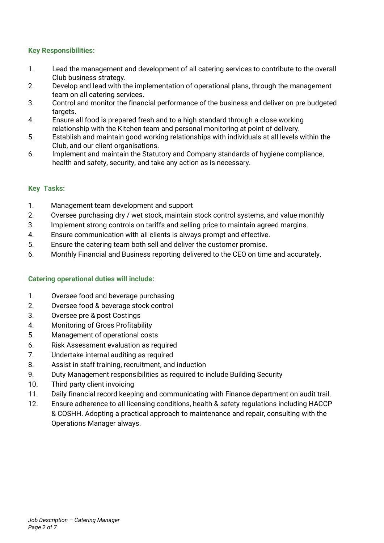# **Key Responsibilities:**

- 1. Lead the management and development of all catering services to contribute to the overall Club business strategy.
- 2. Develop and lead with the implementation of operational plans, through the management team on all catering services.
- 3. Control and monitor the financial performance of the business and deliver on pre budgeted targets.
- 4. Ensure all food is prepared fresh and to a high standard through a close working relationship with the Kitchen team and personal monitoring at point of delivery.
- 5. Establish and maintain good working relationships with individuals at all levels within the Club, and our client organisations.
- 6. Implement and maintain the Statutory and Company standards of hygiene compliance, health and safety, security, and take any action as is necessary.

### **Key Tasks:**

- 1. Management team development and support
- 2. Oversee purchasing dry / wet stock, maintain stock control systems, and value monthly
- 3. Implement strong controls on tariffs and selling price to maintain agreed margins.
- 4. Ensure communication with all clients is always prompt and effective.
- 5. Ensure the catering team both sell and deliver the customer promise.
- 6. Monthly Financial and Business reporting delivered to the CEO on time and accurately.

# **Catering operational duties will include:**

- 1. Oversee food and beverage purchasing
- 2. Oversee food & beverage stock control
- 3. Oversee pre & post Costings
- 4. Monitoring of Gross Profitability
- 5. Management of operational costs
- 6. Risk Assessment evaluation as required
- 7. Undertake internal auditing as required
- 8. Assist in staff training, recruitment, and induction
- 9. Duty Management responsibilities as required to include Building Security
- 10. Third party client invoicing
- 11. Daily financial record keeping and communicating with Finance department on audit trail.
- 12. Ensure adherence to all licensing conditions, health & safety regulations including HACCP & COSHH. Adopting a practical approach to maintenance and repair, consulting with the Operations Manager always.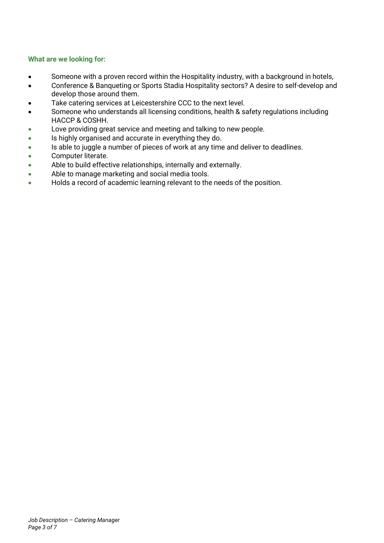# **What are we looking for:**

- Someone with a proven record within the Hospitality industry, with a background in hotels,
- Conference & Banqueting or Sports Stadia Hospitality sectors? A desire to self-develop and develop those around them.
- Take catering services at Leicestershire CCC to the next level.
- Someone who understands all licensing conditions, health & safety regulations including HACCP & COSHH.
- Love providing great service and meeting and talking to new people.
- Is highly organised and accurate in everything they do.
- Is able to juggle a number of pieces of work at any time and deliver to deadlines.
- Computer literate.
- Able to build effective relationships, internally and externally.
- Able to manage marketing and social media tools.
- Holds a record of academic learning relevant to the needs of the position.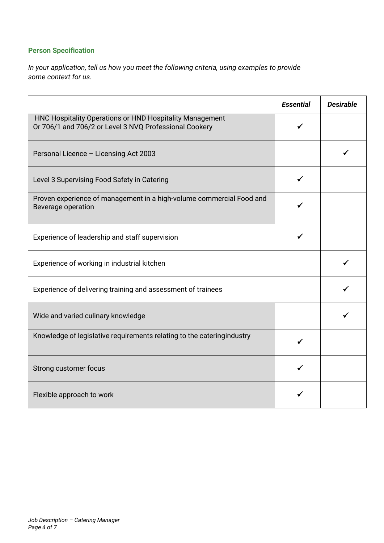# **Person Specification**

*In your application, tell us how you meet the following criteria, using examples to provide some context for us.*

|                                                                                                                    | <b>Essential</b> | <b>Desirable</b> |
|--------------------------------------------------------------------------------------------------------------------|------------------|------------------|
| HNC Hospitality Operations or HND Hospitality Management<br>Or 706/1 and 706/2 or Level 3 NVQ Professional Cookery |                  |                  |
| Personal Licence - Licensing Act 2003                                                                              |                  |                  |
| Level 3 Supervising Food Safety in Catering                                                                        |                  |                  |
| Proven experience of management in a high-volume commercial Food and<br>Beverage operation                         |                  |                  |
| Experience of leadership and staff supervision                                                                     |                  |                  |
| Experience of working in industrial kitchen                                                                        |                  |                  |
| Experience of delivering training and assessment of trainees                                                       |                  |                  |
| Wide and varied culinary knowledge                                                                                 |                  |                  |
| Knowledge of legislative requirements relating to the cateringindustry                                             |                  |                  |
| Strong customer focus                                                                                              |                  |                  |
| Flexible approach to work                                                                                          |                  |                  |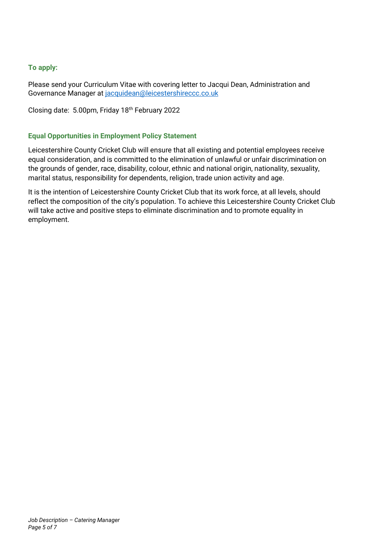# **To apply:**

Please send your Curriculum Vitae with covering letter to Jacqui Dean, Administration and Governance Manager at [jacquidean@leicestershireccc.co.uk](mailto:jacquidean@leicestershireccc.co.uk)

Closing date: 5.00pm, Friday 18th February 2022

# **Equal Opportunities in Employment Policy Statement**

Leicestershire County Cricket Club will ensure that all existing and potential employees receive equal consideration, and is committed to the elimination of unlawful or unfair discrimination on the grounds of gender, race, disability, colour, ethnic and national origin, nationality, sexuality, marital status, responsibility for dependents, religion, trade union activity and age.

It is the intention of Leicestershire County Cricket Club that its work force, at all levels, should reflect the composition of the city's population. To achieve this Leicestershire County Cricket Club will take active and positive steps to eliminate discrimination and to promote equality in employment.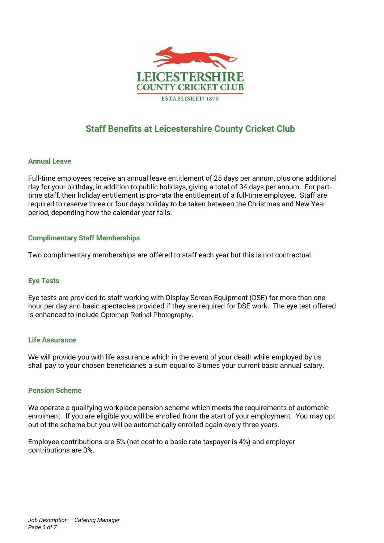

# **Staff Benefits at Leicestershire County Cricket Club**

### **Annual Leave**

Full-time employees receive an annual leave entitlement of 25 days per annum, plus one additional day for your birthday, in addition to public holidays, giving a total of 34 days per annum. For parttime staff, their holiday entitlement is pro-rata the entitlement of a full-time employee. Staff are required to reserve three or four days holiday to be taken between the Christmas and New Year period, depending how the calendar year falls.

### **Complimentary Staff Memberships**

Two complimentary memberships are offered to staff each year but this is not contractual.

### **Eye Tests**

Eye tests are provided to staff working with Display Screen Equipment (DSE) for more than one hour per day and basic spectacles provided if they are required for DSE work. The eye test offered is enhanced to include Optomap Retinal Photography.

### **Life Assurance**

We will provide you with life assurance which in the event of your death while employed by us shall pay to your chosen beneficiaries a sum equal to 3 times your current basic annual salary.

### **Pension Scheme**

We operate a qualifying workplace pension scheme which meets the requirements of automatic enrolment. If you are eligible you will be enrolled from the start of your employment. You may opt out of the scheme but you will be automatically enrolled again every three years.

Employee contributions are 5% (net cost to a basic rate taxpayer is 4%) and employer contributions are 3%.